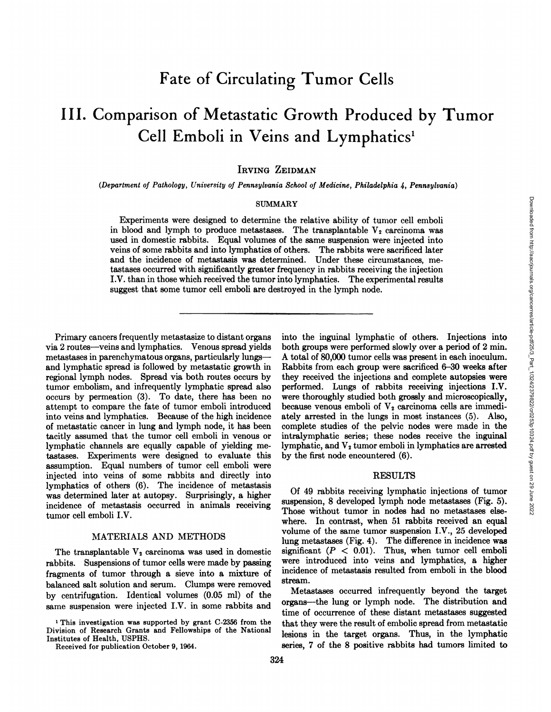# Fate of Circulating Tumor Cells

# **III. Comparison of Metastatic Growth Produced by Tumor Cell Emboli in Veins and Lymphatics1**

IRVING ZEIDMAN

*(Department of Pathology, University ofPennsylvania School of Medicine, Philadelphia 4, Pennsylvania)*

#### SUMMARY

Experiments were designed to determine the relative ability of tumor cell emboli in blood and lymph to produce metastases. The transplantable  $V_2$  carcinoma was used in domestic rabbits. Equal volumes of the same suspension were injected into veins of some rabbits and into lymphatics of others. The rabbits were sacrificed later and the incidence of metastasis was determined. Under these circumstances, me tastases occurred with significantly greater frequency in rabbits receiving the injection I.V. than in those which received the tumor into lymphatics. The experimental results suggest that some tumor cell emboli are destroyed in the lymph node.

Primary cancers frequently metastasize to distant organs via 2 routes—veinsand lymphatics. Venous spread yields metastases in parenchyrnatous organs, particularly lungs and lymphatic spread is followed by metastatic growth in regional lymph nodes. Spread via both routes occurs by tumor embolism, and infrequently lymphatic spread also occurs by permeation (3). To date, there has been no attempt to compare the fate of tumor emboli introduced into veins and lymphatics. Because of the high incidence **of metastatic cancer in lung and lymph node, it has been** tacitly assumed that the tumor cell emboli in venous or lymphatic channels are equally capable of yielding me tastases. Experiments were designed to evaluate this assumption. Equal numbers of tumor cell emboli were injected into veins of some rabbits and directly into lymphatics of others (6). The incidence of metastasis was determined later at autopsy. Surprisingly, a higher incidence of metastasis occurred in animals receiving tumor cell emboli I.V.

#### MATERIALS AND METHODS

The transplantable  $V_2$  carcinoma was used in domestic rabbits. Suspensions of tumor cells were made by passing fragments of tumor through a sieve into a mixture of balanced salt solution and serum. Clumps were removed by centrifugation. Identical volumes (0.05 ml) of the same suspension were injected I.V. in some rabbits and

ARY<br>
is the relative ability of tumor cell emboli<br>
is the rangplantable  $V_2$  carcinom was<br>
of the same suspension were injected into<br>
into thers. The rabbits were sacrificed later<br>
memod. Under these circumstances, me-<br> both groups were performed slowly over a period of 2 min. A total of 80,000 tumor cells was present in each inoculum. Rabbits from each group were sacrificed 6-30 weeks after they received the injections and complete autopsies were performed. Lungs of rabbits receiving injections I.V. **were thoroughly studied both grossly and microscopically,** because venous emboli of  $V_2$  carcinoma cells are immediately arrested in the lungs in most instances (5). Also, complete studies of the pelvic nodes were made in the intralymphatic series; these nodes receive the inguinal lymphatic, and  $V_2$  tumor emboli in lymphatics are arrested by the first node encountered (6).

## RESULTS

Of 49 rabbits receiving lymphatic injections of tumor suspension, 8 developed lymph node metastases (Fig. 5). Those without tumor in nodes had no metastases else where. In contrast, when 51 rabbits received an equal **volume of the same tumor suspension I.V., 25 developed** lung metastases (Fig. 4). The difference in incidence was significant  $(P < 0.01)$ . Thus, when tumor cell emboli **were introduced into veins and lymphatics, a higher** incidence of metastasis resulted from emboli in the blood stream.

Metastases occurred infrequently beyond the target **organs—the lung or lymph node. The distribution and** time of occurrence of these distant metastases suggested that they were the result of embolic spread from metastatic lesions in the target organs. Thus, in the lymphatic series, 7 of the 8 positive rabbits had tumors limited to

**<sup>1</sup> This investigation was supported by grant C-2356 from the** Division of Research Grants and Fellowships of the National Institutes of Health, USPHS.

Received for publication October 9, 1964.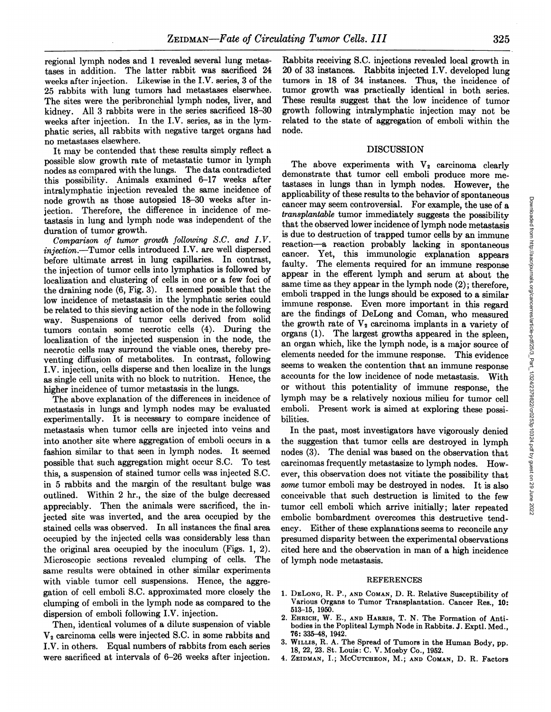regional lymph nodes and 1 revealed several lung metas tases in addition. The latter rabbit was sacrificed 24 weeks after injection. Likewise in the I.V. series,  $3$  of the 25 rabbits with lung tumors had metastases elserwhee. The sites were the peribronchial lymph nodes, liver, and kidney. All 3 rabbits were in the series sacrificed 18—30 weeks after injection. In the I.V. series, as in the lymphatic series, all rabbits with negative target organs had no metastases elsewhere.

It may be contended that these results simply reflect a possible slow growth rate of metastatic tumor in lymph nodes as compared with the lungs. The data contradicted this possibility. Animals examined  $6-17$  weeks after intralymphatic injection revealed the same incidence of node growth as those autopsied 18-30 weeks after injection. Therefore, the difference in incidence of me tastasis in lung and lymph node was independent of the duration of tumor growth.

*Comparison of tumor growth following S.C. ari4 I.V. injection.—Tumor cells introduced I.V. are well dispersed* before ultimate arrest in lung capillaries. In contrast, the injection of tumor cells into lymphatics is followed by localization and clustering of cells in one or a few foci of the draining node (6, Fig. 3). It seemed possible that the low incidence of metastasis in the lymphatic series could be related to this sieving action of the node in the following way. Suspensions of tumor cells derived from solid tumors contain some necrotic cells (4). During the localization of the injected suspension in the node, the **necrotic cells may surround the viable ones, thereby pre** venting diffusion of metabolites. In contrast, following I.V. injection, cells disperse and then localize in the lungs as single cell units with no block to nutrition. Hence, the higher incidence of tumor metastasis in the lungs.

The above explanation of the differences in incidence of metastasis in lungs and lymph nodes may be evaluated experimentally. It is necessary to compare incidence of metastasis when tumor cells are injected into veins and into another site where aggregation of emboli occurs in a fashion similar to that seen in lymph nodes. It seemed possible that such aggregation might occur S.C. To test this, a suspension of stained tumor cells was injected S.C. in 5 rabbits and the margin of the resultant bulge was outlined. Within 2 hr., the size of the bulge decreased appreciably. Then the animals were sacrificed, the in jected site was inverted, and the area occupied by the stained cells was observed. In allinstances the final area occupied by the injected cells was considerably less than the original area occupied by the inoculum (Figs. 1, 2). Microscopic sections revealed clumping of cells. The same results were obtained in other similar experiments with viable tumor cell suspensions. Hence, the aggregation of cell emboli S.C. approximated more closely the clumping of emboli in the lymph node as compared to the dispersion of emboli following I.V. injection.

Then, identical volumes of a dilute suspension of viable  $V<sub>2</sub>$  carcinoma cells were injected S.C. in some rabbits and I.V. in others. Equal numbers of rabbits from each series were sacrificed at intervals of 6-26 weeks after injection.

Rabbits receiving S.C. injections revealed local growth in 20 of 33 instances. Rabbits injected I.V. developed lung tumors in 18 of 34 instances. Thus, the incidence of tumor growth was practically identical in both series. These results suggest that the low incidence of tumor growth following intralymphatic injection may not be related to the state of aggregation of emboli within the node.

## DISCUSSION

The above experiments with  $V_2$  carcinoma clearly demonstrate that tumor cell emboli produce more me tastases in lungs than in lymph nodes. However, the applicability of these results to the behavior of spontaneous Frame of the lower mediately suggests the possibility states are controversial. For example, the use of a transplanable tunor inmediately suggests the possibility in the deserved lower incidence of lymph node mediatasis i *transplantable tumor immediately suggests the possibility* that the observed lower incidence of lymph node metastasis is due to destruction of trapped tumor cells by an immune reaction—a reaction probably lacking in spontaneous cancer. Yet, this immunologic explanation appears faulty. The elements required for an immune response appear in the efferent lymph and serum at about the same time as they appear in the lymph node (2); therefore, emboli trapped in the lungs should be exposed to a similar immune response. Even more important in this regard are the findings of DeLong and Coman, who measured the growth rate of  $V_2$  carcinoma implants in a variety of organs (1). The largest growths appeared in the spleen, an organ which, like the lymph node, is a major source of elements needed for the immune response. This evidence seems to weaken the contention that an immune response accounts for the low incidence of node metastasis. With or without this potentiality of immune response, the lymph may be a relatively noxious milieu for tumor cell emboli. Present work is aimed at exploring these possibilities.

In the past, most investigators have vigorously denied the suggestion that tumor cells are destroyed in lymph nodes (3). The denial was based on the observation that carcinomas frequently metastasize to lymph nodes. How ever, this observation does not vitiate the possibility that *some tumor emboli may be destroyed in nodes. It is also* conceivable that such destruction is limited to the few tumor cell emboli which arrive initially; later repeated embolic bombardment overcomes this destructive tend ency. Either of these explanations seems to reconcile any presumed disparity between the experimental observations cited here and the observation in man of a high incidence of lymph node metastasis.

#### REFERENCES

- 1. DELONG, R. P., AND COMAN, D. R. Relative Susceptibility of Various Organs to Tumor Transplantation. Cancer Res., 10: 513—15, 1950.
- 2. EHRICH, W. E., AND HARRIS, T. N. The Formation of Anti bodies in the Popliteal Lymph Node in Rabbits. J. Exptl. Med., 76: 335—48, 1942.
- 3. WILLIs, R. A. The Spread of Tumors in the Human Body, pp. 18, 22, 23. St. Louis: C. V. Mosby Co., 1952.
- 4. ZEIDMAN, I.; MCCUTCHEON, M.; AND COMAN, D. R. Factors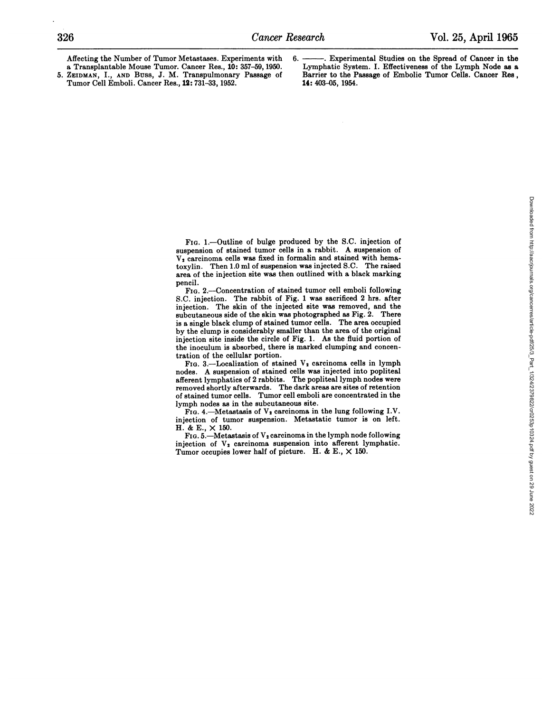**Affecting the Number of Tumor Metastases. Experiments with** a Transplantable Mouse Tumor. Cancer Res., 10: 357—59, 1950. *5. ZEIDMAN, I., AND Buss, J. M. Transpulmonary Passage of* Tumor Cell Emboli. Cancer Res., 12: 731—33, 1952.

. Experimental Studies on the Spread of Cancer in the Lymphatic System. I. Effectiveness of the Lymph Node as a Barrier to the Passage of Embolic Tumor Cells. Cancer Res, 14: 403—05, 1954.

**FIG. 1.—Outline of bulge produced by the S.C. injection of** suspension of stained tumor cells in a rabbit. A suspension of  $V_2$  carcinoma cells was fixed in formalin and stained with hematoxylin. Then 1.0 ml of suspension was injected S.C. The raised area of the injection site was then outlined with a black marking pencil.

**FIG. 2.—Concentration of stained tumor cell emboli following** S.C. injection. The rabbit of Fig. 1 was sacrificed 2 hrs. after injection. The skin of the injected site was removed, and the subcutaneous side of the skin was photographed as Fig. 2. There is a single black clump of stained tumor cells. The area occupied by the clump is considerably smaller than the area of the original injection site inside the circle of Fig. 1. As the fluid portion of the inoculum is absorbed, there is marked clumping and concen tration of the cellular portion.

**FIG. 3.—Localization of stained V2 carcinoma cells in lymph** nodes. A suspension of stained cells was injected into popliteal afferent lymphatics of 2 rabbits. The popliteal lymph nodes were removed shortly afterwards. The dark areas are sites of retention of stained tumor cells. Tumor cell emboli are concentrated in the lymph nodes as in the subcutaneous site.

**FIG. 4.—Metastasis of V2 carcinoma in the lung following I.V.** injection of tumor suspension. Metastatic tumor is on left. H. & E., x 150.

**FIG. 5.—Metastasis of V2 carcinoma in the lymph node following** injection of  $V_2$  carcinoma suspension into afferent lymphatic. Tumor occupies lower half of picture. H. & E.,  $\times$  150.